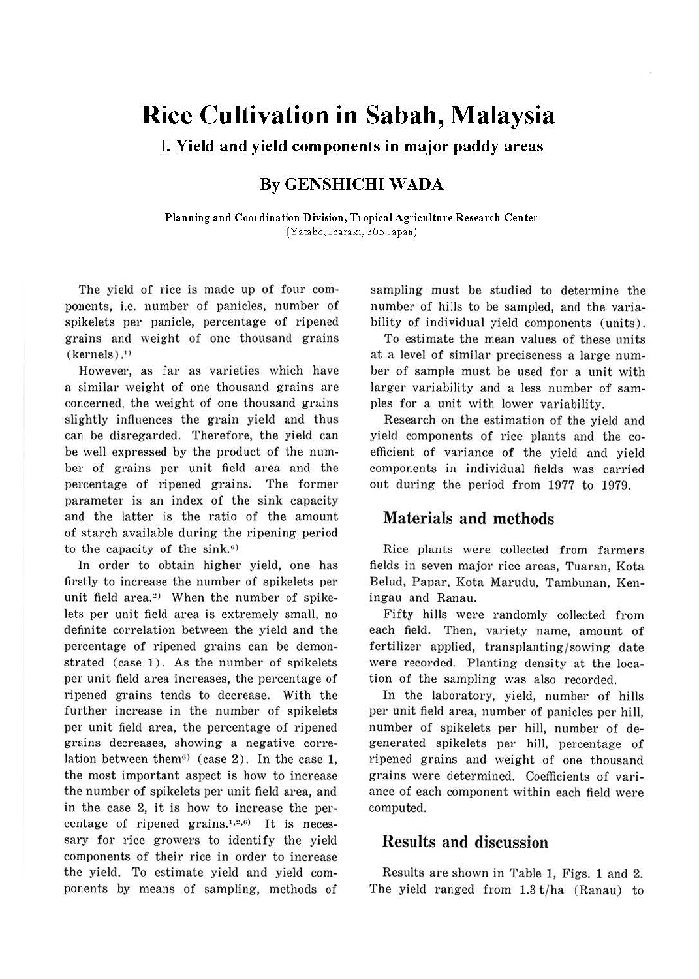# **Rice Cultivation in Sabah, Malaysia**

I. **Yield and yield components in major paddy areas** 

## **By GENSHICHI WADA**

**Planning and Coordination Division, Tropical Agriculture Research Center**  (Yatabe, Ibaraki, 305 Japan)

The yield of rice is made up of four components, i.e. number of panicles, number of spikelets per panicle, percentage of ripened grains and weight of one thousand grains  $(k$ ernels $)$ .<sup>1</sup>

However, as far as varieties which have a similar weight of one thousand grains are concerned, the weight of one thousand grains slightly influences the grain yield and thus can be disregarded. Therefore, the yield can be well expressed by the product of the number of grains per unit field area and the percentage of ripened grains. The former parameter is an index of the sink capacity and the latter is the ratio of the amount of starch available during the ripening period to the capacity of the sink.<sup>6)</sup>

In order to obtain higher yield, one has firstly to increase the number of spikelets per unit field area.<sup>2)</sup> When the number of spikelets per unit field area is extremely small, no definite correlation between the yield and the percentage of ripened grains can be demonstrated (case 1). As the number of spikelets per unit field area increases, the percentage of ripened grains tends to decrease. With the further increase in the number of spikelets per unit field area, the percentage of ripened grains decreases, showing a negative correlation between them<sup> $6)$ </sup> (case 2). In the case 1, the most important aspect is how to increase the number of spikelets per unit field area, and in the case 2, it is how to increase the percentage of ripened grains.<sup>1,2,6</sup>) It is necessary for rice growers to identify the yield components of their rice in order to increase the yield. To estimate yield and yield components by means of sampling, methods of

sampling must be studied to determine the number of hills to be sampled, and the variability of individual yield components (units) .

To estimate the mean values of these units at a level of similar preciseness a large number of sample must be used for a unit with larger variability and a less number of samples for a unit with lower variability.

Research on the estimation of the yield and yield components of rice plants and the coefficient of variance of the yield and yield components in individual fields was carried out during the period from 1977 to 1979.

### Materials and methods

Rice plants were collected from farmers fields in seven major rice areas, Tuaran, Kota Belud, Papar, Kota Marudu, Tambunan, Keningau and Ranau.

Fifty hills were randomly collected from each field. Then, variety name, amount of fertilizer applied, transplanting/sowing date were recorded. Planting density at the location of the sampling was also recorded.

In the laboratory, yield, number of hills per unit field area, number of panicles per hill, number of spikelets per hill, number of degenerated spikelets per hill, percentage of ripened grains and weight of one thousand grains were determined. Coefficients of variance of each component within each field were computed.

#### Results and discussion

Results are shown in Table l, Figs. 1 and 2. The yield ranged from  $1.3$  t/ha (Ranau) to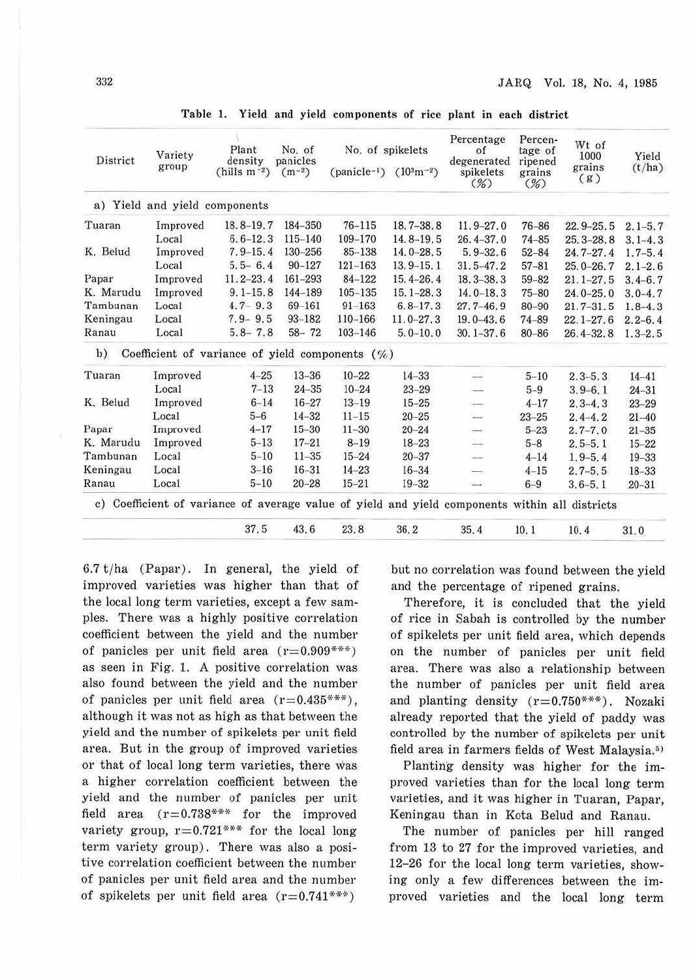| District  | Variety<br>group              | Plant<br>density<br>$(hills m^{-2})$               | No. of<br>panicles<br>$(m^{-2})$ | No. of spikelets                          |               | Percentage<br>of                                                                               | Percen-<br>tage of       | Wt of<br>1000 | Yield       |
|-----------|-------------------------------|----------------------------------------------------|----------------------------------|-------------------------------------------|---------------|------------------------------------------------------------------------------------------------|--------------------------|---------------|-------------|
|           |                               |                                                    |                                  | (panicle <sup>-1</sup> ) $(10^{3}m^{-2})$ |               | degenerated<br>spikelets<br>$(\%)$                                                             | ripened<br>grains<br>(%) | grains<br>(g) | (t/ha)      |
|           | a) Yield and yield components |                                                    |                                  |                                           |               |                                                                                                |                          |               |             |
| Tuaran    | Improved                      | $18.8 - 19.7$                                      | 184-350                          | $76 - 115$                                | $18.7 - 38.8$ | $11.9 - 27.0$                                                                                  | $76 - 86$                | $22.9 - 25.5$ | $2.1 - 5.7$ |
|           | Local                         | $6.6 - 12.3$                                       | $115 - 140$                      | 109-170                                   | 14.8-19.5     | $26.4 - 37.0$                                                                                  | $74 - 85$                | $25.3 - 28.8$ | $3.1 - 4.3$ |
| K. Belud  | Improved                      | $7.9 - 15.4$                                       | 130-256                          | 85-138                                    | $14.0 - 28.5$ | $5.9 - 32.6$                                                                                   | $52 - 84$                | $24.7 - 27.4$ | $1.7 - 5.4$ |
|           | Local                         | $5.5 - 6.4$                                        | $90 - 127$                       | $121 - 163$                               | $13.9 - 15.1$ | $31.5 - 47.2$                                                                                  | $57 - 81$                | $25.0 - 26.7$ | $2.1 - 2.6$ |
| Papar     | Improved                      | $11.2 - 23.4$                                      | 161-293                          | 84-122                                    | $15.4 - 26.4$ | $18.3 - 38.3$                                                                                  | $59 - 82$                | $21.1 - 27.5$ | $3.4 - 6.7$ |
| K. Marudu | Improved                      | $9.1 - 15.8$                                       | 144-189                          | $105 - 135$                               | $15.1 - 28.3$ | $14.0 - 18.3$                                                                                  | $75 - 80$                | $24.0 - 25.0$ | $3.0 - 4.7$ |
| Tambunan  | Local                         | $4.7 - 9.3$                                        | 69-161                           | $91 - 163$                                | $6.8 - 17.3$  | $27.7 - 46.9$                                                                                  | $80 - 90$                | $21.7 - 31.5$ | $1, 8-4, 3$ |
| Keningau  | Local                         | $7.9 - 9.5$                                        | $93 - 182$                       | 110-166                                   | $11.0 - 27.3$ | $19.0 - 43.6$                                                                                  | 74-89                    | $22.1 - 27.6$ | $2.2 - 6.4$ |
| Ranau     | Local                         | $5.8 - 7.8$                                        | $58 - 72$                        | $103 - 146$                               | $5.0 - 10.0$  | $30.1 - 37.6$                                                                                  | $80 - 86$                | $26.4 - 32.8$ | $1.3 - 2.5$ |
| b)        |                               | Coefficient of variance of yield components $(\%)$ |                                  |                                           |               |                                                                                                |                          |               |             |
| Tuaran    | Improved                      | $4 - 25$                                           | $13 - 36$                        | $10 - 22$                                 | $14 - 33$     | $\overline{\phantom{a}}$                                                                       | $5 - 10$                 | $2.3 - 5.3$   | $14 - 41$   |
|           | Local                         | $7 - 13$                                           | $24 - 35$                        | $10 - 24$                                 | $23 - 29$     | $\overline{\phantom{a}}$                                                                       | $5 - 9$                  | $3.9 - 6.1$   | $24 - 31$   |
| K. Belud  | Improved                      | $6 - 14$                                           | $16 - 27$                        | $13 - 19$                                 | $15 - 25$     | $\longrightarrow$                                                                              | $4 - 17$                 | $2.3 - 4.3$   | $23 - 29$   |
|           | Local                         | $5 - 6$                                            | $14 - 32$                        | $11 - 15$                                 | $20 - 25$     | $\overline{\phantom{a}}$                                                                       | $23 - 25$                | $2, 4-4, 2$   | $21 - 40$   |
| Papar     | Improved                      | $4 - 17$                                           | $15 - 30$                        | $11 - 30$                                 | $20 - 24$     | $\longrightarrow$                                                                              | $5 - 23$                 | $2, 7 - 7, 0$ | $21 - 35$   |
| K. Marudu | Improved                      | $5 - 13$                                           | $17 - 21$                        | $8 - 19$                                  | $18 - 23$     | $\equiv$                                                                                       | $5 - 8$                  | $2, 5 - 5, 1$ | $15 - 22$   |
| Tambunan  | Local                         | $5 - 10$                                           | $11 - 35$                        | $15 - 24$                                 | $20 - 37$     | $\overline{\phantom{a}}$                                                                       | $4 - 14$                 | $1, 9-5, 4$   | $19 - 33$   |
| Keningau  | Local                         | $3 - 16$                                           | $16 - 31$                        | $14 - 23$                                 | $16 - 34$     | $\overline{\phantom{a}}$                                                                       | $4 - 15$                 | $2.7 - 5.5$   | $18 - 33$   |
| Ranau     | Local                         | $5 - 10$                                           | $20 - 28$                        | $15 - 21$                                 | $19 - 32$     | $\overline{\phantom{a}}$                                                                       | $6 - 9$                  | $3.6 - 5.1$   | $20 - 31$   |
|           |                               |                                                    |                                  |                                           |               | c) Coefficient of variance of average value of yield and yield components within all districts |                          |               |             |
|           |                               | 37.5                                               | 43.6                             | 23.8                                      | 36.2          | 35.4                                                                                           | 10.1                     | 10.4          | 31.0        |

Table 1. Yield and yield components of rice plant in each district

 $6.7 t/ha$  (Papar). In general, the yield of improved varieties was higher than that of the local long term varieties, except a few samples. There was a highly positive correlation coefficient between the yield and the number of panicles per unit field area  $(r=0.909***)$ as seen in Fig. 1. A positive correlation was also found between the yield and the number of panicles per unit field area  $(r=0.435***)$ , although it was not as high as that between the yield and the number of spikelets per unit field area. But in the group of improved varieties or that of local Jong term varieties, there was a higher correlation coefficient between the yield and the number of panicles per unit field area  $(r=0.738***$  for the improved variety group,  $r = 0.721***$  for the local long term variety group). There was also a positive correlation coefficient between the number of panicles per unit field area and the number of spikelets per unit field area  $(r=0.741***)$ 

but no correlation was found between the yield and the percentage of ripened grains.

Therefore, it is concluded that the yield of rice in Sabah is controlled by the number of spikelets per unit field area, which depends on the number of panicles per unit field area. There was also a relationship between the number of panicles per unit field area and planting density  $(r=0.750***)$ . Nozaki already reported that the yield of paddy was controlled by the number of spikelets per unit field area in farmers fields of West Malaysia.<sup>5)</sup>

Planting density was higher for the improved varieties than for the local long term varieties, and it was higher in Tuaran, Papar, Keningau than in Kota Belud and Ranau.

The number of panicles per hill ranged from 13 to 27 for the improved varieties, and 12-26 for the local long term varieties, showing only a few differences between the improved varieties and the local long term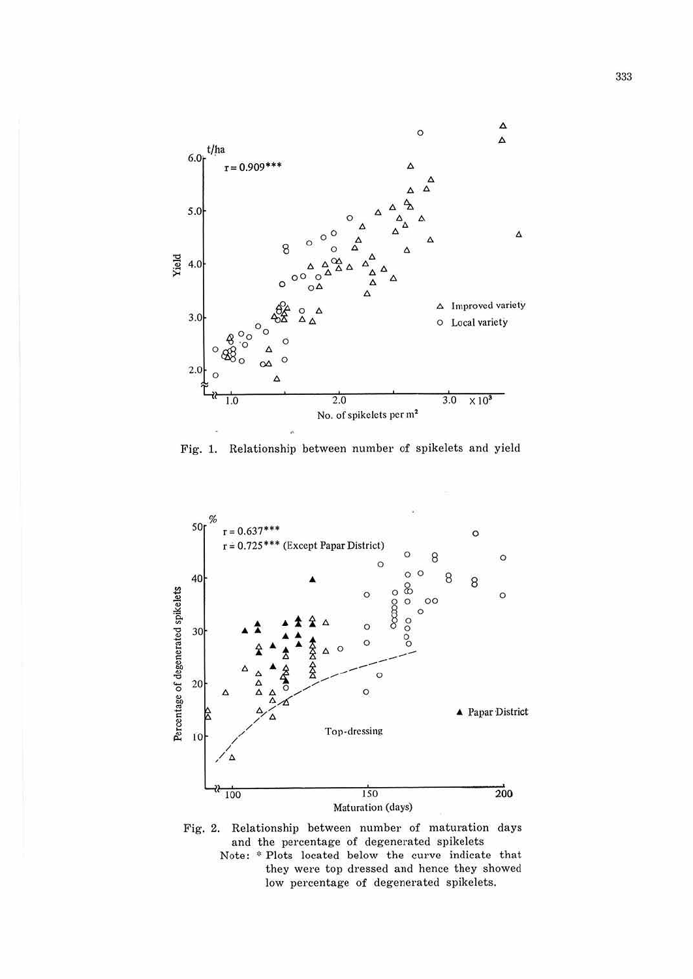

Fig. 1. Relationship between number of spikelets and yield





Note: \* Plots located below the curve indicate that they were top dressed and hence they showed low percentage of degenerated spikelets.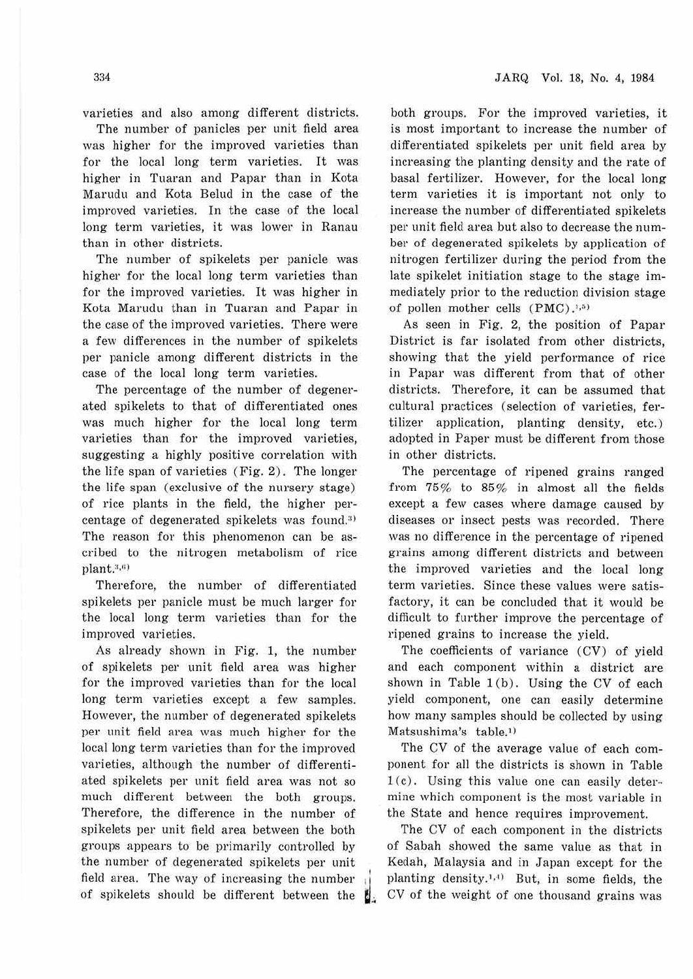varieties and also among different districts.

The number of panicles per unit field area was higher for the improved varieties than for the local long term varieties. It was higher in Tuaran and Papar than in Kota Marudu and Kota Belud in the case of the improved varieties. In the case of the local long term varieties, it was lower in Ranau than in other districts.

The number of spikelets per panicle was higher for the local long term varieties than for the improved varieties. It was higher in Kota Marudu than in Tuaran and Papar in the case of the improved varieties. There were a few differences in the number of spikelets per panicle among different districts in the case of the local long term varieties.

The percentage of the number of degenerated spikelets to that of differentiated ones was much higher for the local Jong term varieties than for the improved varieties, suggesting a highly positive correlation with the life span of varieties (Fig. 2) . The longer the life span (exclusive of the nursery stage) of rice plants in the field, the higher percentage of degenerated spikelets was found.<sup>3)</sup> The reason for this phenomenon can be ascribed to the nitrogen metabolism of rice  $plant$ . $3,6)$ 

Therefore, the number of differentiated spikelets per panicle must be much larger for the local long term varieties than for the improved varieties.

As already shown in Fig. 1, the number of spikelets per unit field area was higher for the improved varieties than for the local long term varieties except a few samples. However, the number of degenerated spikelets per unit field area was much higher for the local long term varieties than for the improved varieties, although the number of differentiated spikelets per unit field area was not so much different between the both groups. Therefore, the difference in the number of spikelets per unit field area between the both groups appears to be primarily controlled by the number of degenerated spikelets per unit field area. The way of increasing the number of spikelets should be different between the

both groups. For the improved varieties, it is most important to increase the number of differentiated spikelets per unit field area by increasing the planting density and the rate of basal fertilizer. However, for the local Jong term varieties it is important not only to increase the number of differentiated spikelets per unit field area but also to decrease the number of degenerated spikelets by application of nitrogen fertilizer during the period from the late spikelet initiation stage to the stage immediately prior to the reduction division stage of pollen mother cells  $(PMC)$ .<sup>1,5)</sup>

As seen in Fig. 2, the position of Papar District is far isolated from other districts, showing that the yield performance of rice in Papar was different from that of other districts. Therefore, it can be assumed that cultural practices (selection of varieties, fertilizer application, planting density, etc.) adopted in Paper must be different from those in other districts.

The percentage of ripened grains ranged from 75% to 85% in almost all the fields except a few cases where damage caused by diseases or insect pests was recorded. There was no difference in the percentage of ripened grains among different districts and between the improved varieties and the local long term varieties. Since these values were satisfactory, it can be concluded that it would be difficult to further improve the percentage of ripened grains to increase the yield.

The coefficients of variance (CV) of yield and each component within a district are shown in Table 1 (b). Using the CV of each yield component, one can easily determine how many samples should be collected by using Matsushima's table.<sup>1)</sup>

The CV of the average value of each component for all the districts is shown in Table  $1(c)$ . Using this value one can easily determine which component is the most variable in the State and hence requires improvement.

The CV of each component in the districts of Sabah showed the same value as that in Kedah, Malaysia and in Japan except for the planting density.<sup>1,4)</sup> But, in some fields, the **if** CV of the weight of one thousand grains was